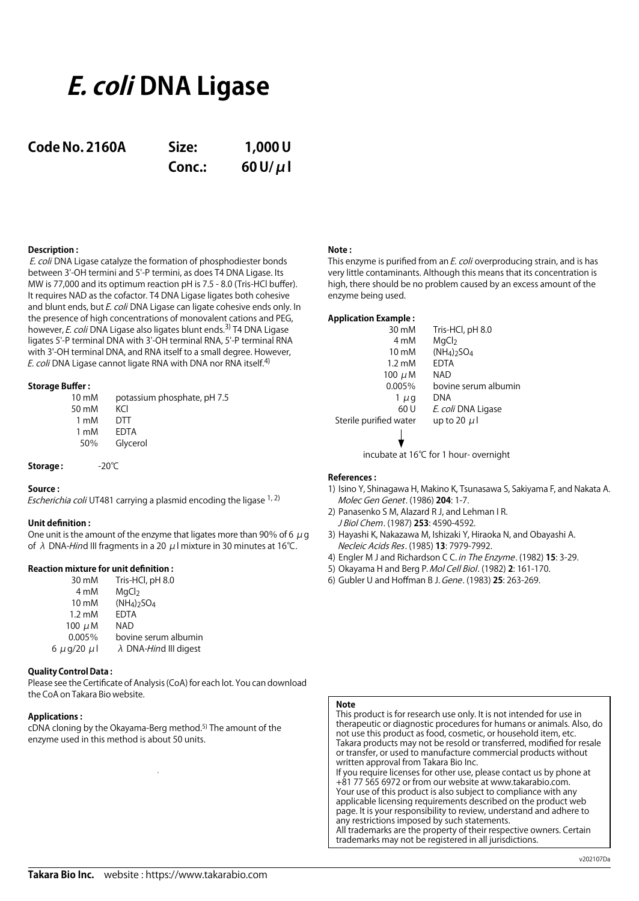# **E. coli DNA Ligase**

# **Code No. 2160A Size: 1,000 U**

**Conc.: 60 U/μl**

# **Description :**

E. coli DNA Ligase catalyze the formation of phosphodiester bonds between 3'-OH termini and 5'-P termini, as does T4 DNA Ligase. Its MW is 77,000 and its optimum reaction pH is 7.5 - 8.0 (Tris-HCl buffer). It requires NAD as the cofactor. T4 DNA Ligase ligates both cohesive and blunt ends, but *E. coli* DNA Ligase can ligate cohesive ends only. In the presence of high concentrations of monovalent cations and PEG, however, *E. coli* DNA Ligase also ligates blunt ends.<sup>3)</sup> T4 DNA Ligase ligates 5'-P terminal DNA with 3'-OH terminal RNA, 5'-P terminal RNA with 3'-OH terminal DNA, and RNA itself to a small degree. However, E. coli DNA Ligase cannot ligate RNA with DNA nor RNA itself.<sup>4)</sup>

## **Storage Buffer :**

| $10 \text{ mM}$ | potassium phosphate, pH 7.5 |
|-----------------|-----------------------------|
| 50 mM           | KCI                         |
| 1 mM            | DTT                         |
| 1 mM            | FDTA                        |
| 50%             | Glycerol                    |

## **Storage :** -20℃

## **Source :**

*Escherichia coli* UT481 carrying a plasmid encoding the ligase  $1, 2$ )

## **Unit definition :**

One unit is the amount of the enzyme that ligates more than 90% of 6  $\mu$  g of  $\lambda$  DNA-Hind III fragments in a 20  $\mu$ I mixture in 30 minutes at 16°C.

# **Reaction mixture for unit definition :**

| 30 mM            | Tris-HCl, pH 8.0                      |
|------------------|---------------------------------------|
| 4 mM             | MgCl <sub>2</sub>                     |
| 10 mM            | $(NH_4)$ <sub>2</sub> SO <sub>4</sub> |
| $1.2 \text{ mM}$ | <b>EDTA</b>                           |
| 100 $\mu$ M      | NAD                                   |
| 0.005%           | bovine serum albumin                  |
| 6 µg/20 µl       | $\lambda$ DNA- <i>Hind</i> III digest |
|                  |                                       |

## **Quality Control Data :**

Please see the Certificate of Analysis (CoA) for each lot. You can download the CoA on Takara Bio website.

## **Applications :**

cDNA cloning by the Okayama-Berg method.<sup>5)</sup> The amount of the enzyme used in this method is about 50 units.

# **Note :**

This enzyme is purified from an *E. coli* overproducing strain, and is has very little contaminants. Although this means that its concentration is high, there should be no problem caused by an excess amount of the enzyme being used.

# **Application Example :**

| 30 mM                  | Tris-HCl, pH 8.0     |
|------------------------|----------------------|
| 4 mM                   | MgCl <sub>2</sub>    |
| 10 mM                  | $(NH4)2SO4$          |
| $1.2 \text{ mM}$       | <b>EDTA</b>          |
| 100 $\mu$ M            | <b>NAD</b>           |
| 0.005%                 | bovine serum albumin |
| $1 \mu q$              | DNA                  |
| 60 U                   | E. coli DNA Ligase   |
| Sterile purified water | up to 20 $\mu$       |
|                        |                      |

incubate at 16℃ for 1 hour- overnight

#### **References :**

- 1) Isino Y, Shinagawa H, Makino K, Tsunasawa S, Sakiyama F, and Nakata A. Molec Gen Genet. (1986) **204**: 1-7.
- 2) Panasenko S M, Alazard R J, and Lehman I R. J Biol Chem. (1987) **253**: 4590-4592.
- 3) Hayashi K, Nakazawa M, Ishizaki Y, Hiraoka N, and Obayashi A. Necleic Acids Res. (1985) **13**: 7979-7992.
- 4) Engler M J and Richardson C C. in The Enzyme. (1982) **15**: 3-29.
- 5) Okayama H and Berg P. Mol Cell Biol. (1982) **2**: 161-170.
- 6) Gubler U and Hoffman B J. Gene. (1983) **25**: 263-269.

# **Note**

This product is for research use only. It is not intended for use in therapeutic or diagnostic procedures for humans or animals. Also, do not use this product as food, cosmetic, or household item, etc. Takara products may not be resold or transferred, modified for resale or transfer, or used to manufacture commercial products without written approval from Takara Bio Inc. If you require licenses for other use, please contact us by phone at

+81 77 565 6972 or from our website at www.takarabio.com. Your use of this product is also subject to compliance with any applicable licensing requirements described on the product web page. It is your responsibility to review, understand and adhere to any restrictions imposed by such statements. All trademarks are the property of their respective owners. Certain

trademarks may not be registered in all jurisdictions.